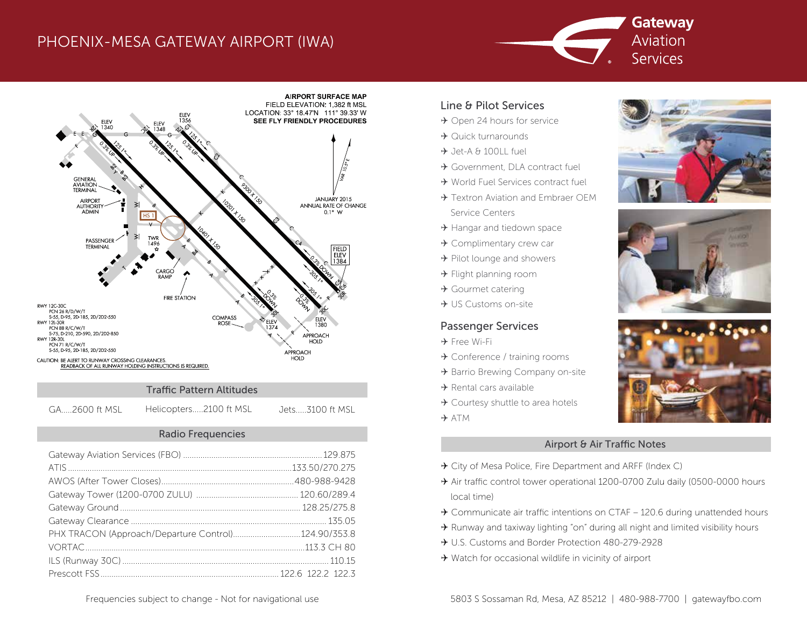## PHOENIX-MESA GATEWAY AIRPORT (IWA)





#### Traffic Pattern Altitudes

GA.....2600 ft MSL Helicopters.....2100 ft MSL Jets.....3100 ft MSL

#### Radio Frequencies

| PHX TRACON (Approach/Departure Control)124.90/353.8 |  |
|-----------------------------------------------------|--|
|                                                     |  |
|                                                     |  |
|                                                     |  |

#### Line & Pilot Services

- $\rightarrow$  Open 24 hours for service
- $\rightarrow$  Quick turnarounds
- $\rightarrow$  Jet-A & 100LL fuel
- Government, DLA contract fuel
- World Fuel Services contract fuel
- → Textron Aviation and Embraer OEM Service Centers
- $\rightarrow$  Hangar and tiedown space
- Complimentary crew car
- $\rightarrow$  Pilot lounge and showers
- $\rightarrow$  Flight planning room
- $\rightarrow$  Gourmet catering
- $\rightarrow$  US Customs on-site

### Passenger Services

- Free Wi-Fi
- → Conference / training rooms
- → Barrio Brewing Company on-site
- $\rightarrow$  Rental cars available
- → Courtesy shuttle to area hotels
- $\rightarrow$  ATM

#### Airport & Air Traffic Notes

- → City of Mesa Police, Fire Department and ARFF (Index C)
- A ir traffic control tower operational 1200-0700 Zulu daily (0500-0000 hours local time)
- $\rightarrow$  Communicate air traffic intentions on CTAF 120.6 during unattended hours
- $\rightarrow$  Runway and taxiway lighting "on" during all night and limited visibility hours
- U.S. Customs and Border Protection 480-279-2928
- → Watch for occasional wildlife in vicinity of airport